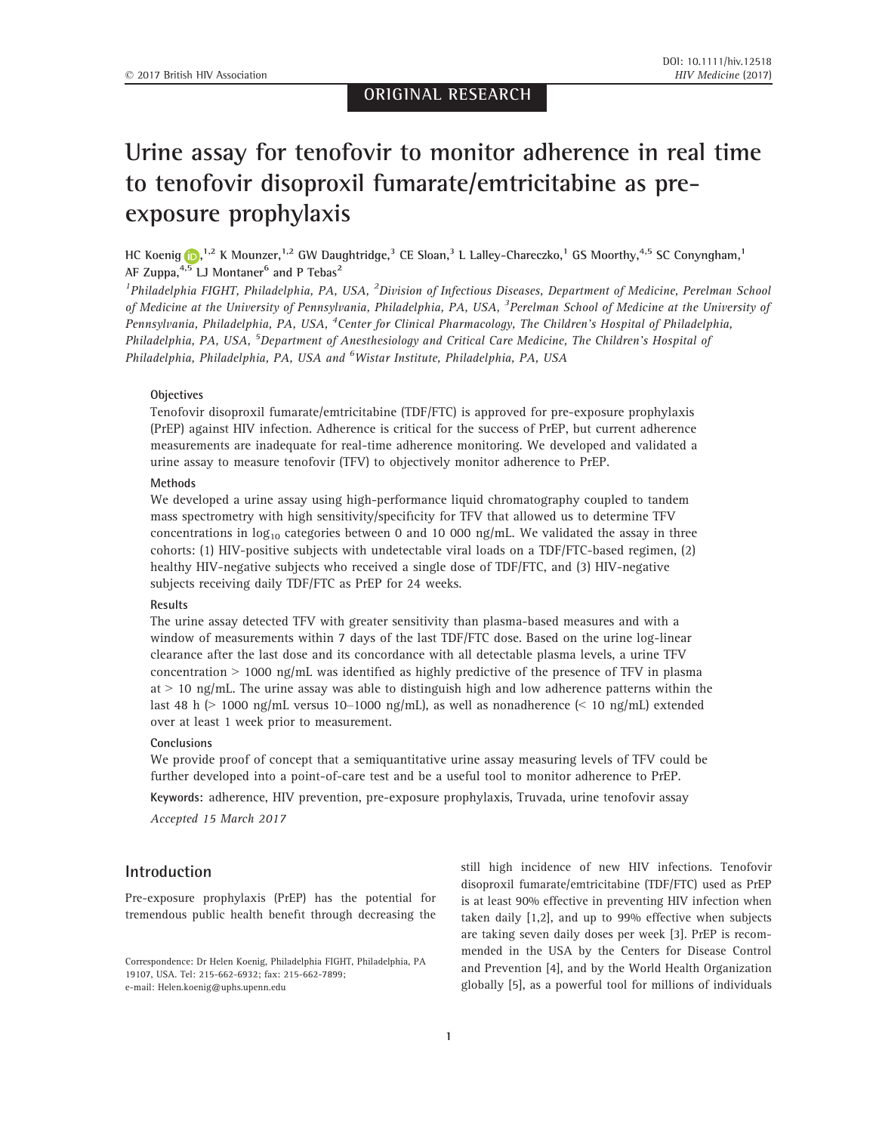# Urine assay for tenofovir to monitor adherence in real time to tenofovir disoproxil fumarate/emtricitabine as preexposure prophylaxis

HC Koenig (D,<sup>1,2</sup> K Mounzer,<sup>1,2</sup> GW Daughtridge,<sup>3</sup> CE Sloan,<sup>3</sup> L Lalley-Chareczko,<sup>1</sup> GS Moorthy,<sup>4,5</sup> SC Conyngham,<sup>1</sup> AF Zuppa,  $4.5$  LJ Montaner<sup>6</sup> and P Tebas<sup>2</sup>

<sup>1</sup>Philadelphia FIGHT, Philadelphia, PA, USA, <sup>2</sup>Division of Infectious Diseases, Department of Medicine, Perelman School of Medicine at the University of Pennsylvania, Philadelphia, PA, USA, <sup>3</sup>Perelman School of Medicine at the University of Pennsylvania, Philadelphia, PA, USA, <sup>4</sup>Center for Clinical Pharmacology, The Children's Hospital of Philadelphia, Philadelphia, PA, USA, <sup>5</sup>Department of Anesthesiology and Critical Care Medicine, The Children's Hospital of Philadelphia, Philadelphia, PA, USA and <sup>6</sup>Wistar Institute, Philadelphia, PA, USA

#### **Objectives**

Tenofovir disoproxil fumarate/emtricitabine (TDF/FTC) is approved for pre-exposure prophylaxis (PrEP) against HIV infection. Adherence is critical for the success of PrEP, but current adherence measurements are inadequate for real-time adherence monitoring. We developed and validated a urine assay to measure tenofovir (TFV) to objectively monitor adherence to PrEP.

#### Methods

We developed a urine assay using high-performance liquid chromatography coupled to tandem mass spectrometry with high sensitivity/specificity for TFV that allowed us to determine TFV concentrations in  $\log_{10}$  categories between 0 and 10 000 ng/mL. We validated the assay in three cohorts: (1) HIV-positive subjects with undetectable viral loads on a TDF/FTC-based regimen, (2) healthy HIV-negative subjects who received a single dose of TDF/FTC, and (3) HIV-negative subjects receiving daily TDF/FTC as PrEP for 24 weeks.

## Results

The urine assay detected TFV with greater sensitivity than plasma-based measures and with a window of measurements within 7 days of the last TDF/FTC dose. Based on the urine log-linear clearance after the last dose and its concordance with all detectable plasma levels, a urine TFV concentration  $> 1000 \text{ ng/mL}$  was identified as highly predictive of the presence of TFV in plasma  $at > 10$  ng/mL. The urine assay was able to distinguish high and low adherence patterns within the last 48 h ( $> 1000$  ng/mL versus 10–1000 ng/mL), as well as nonadherence ( $< 10$  ng/mL) extended over at least 1 week prior to measurement.

#### **Conclusions**

We provide proof of concept that a semiquantitative urine assay measuring levels of TFV could be further developed into a point-of-care test and be a useful tool to monitor adherence to PrEP.

Keywords: adherence, HIV prevention, pre-exposure prophylaxis, Truvada, urine tenofovir assay

Accepted 15 March 2017

## Introduction

Pre-exposure prophylaxis (PrEP) has the potential for tremendous public health benefit through decreasing the still high incidence of new HIV infections. Tenofovir disoproxil fumarate/emtricitabine (TDF/FTC) used as PrEP is at least 90% effective in preventing HIV infection when taken daily [1,2], and up to 99% effective when subjects are taking seven daily doses per week [3]. PrEP is recommended in the USA by the Centers for Disease Control and Prevention [4], and by the World Health Organization globally [5], as a powerful tool for millions of individuals

Correspondence: Dr Helen Koenig, Philadelphia FIGHT, Philadelphia, PA 19107, USA. Tel: 215-662-6932; fax: 215-662-7899; e-mail: Helen.koenig@uphs.upenn.edu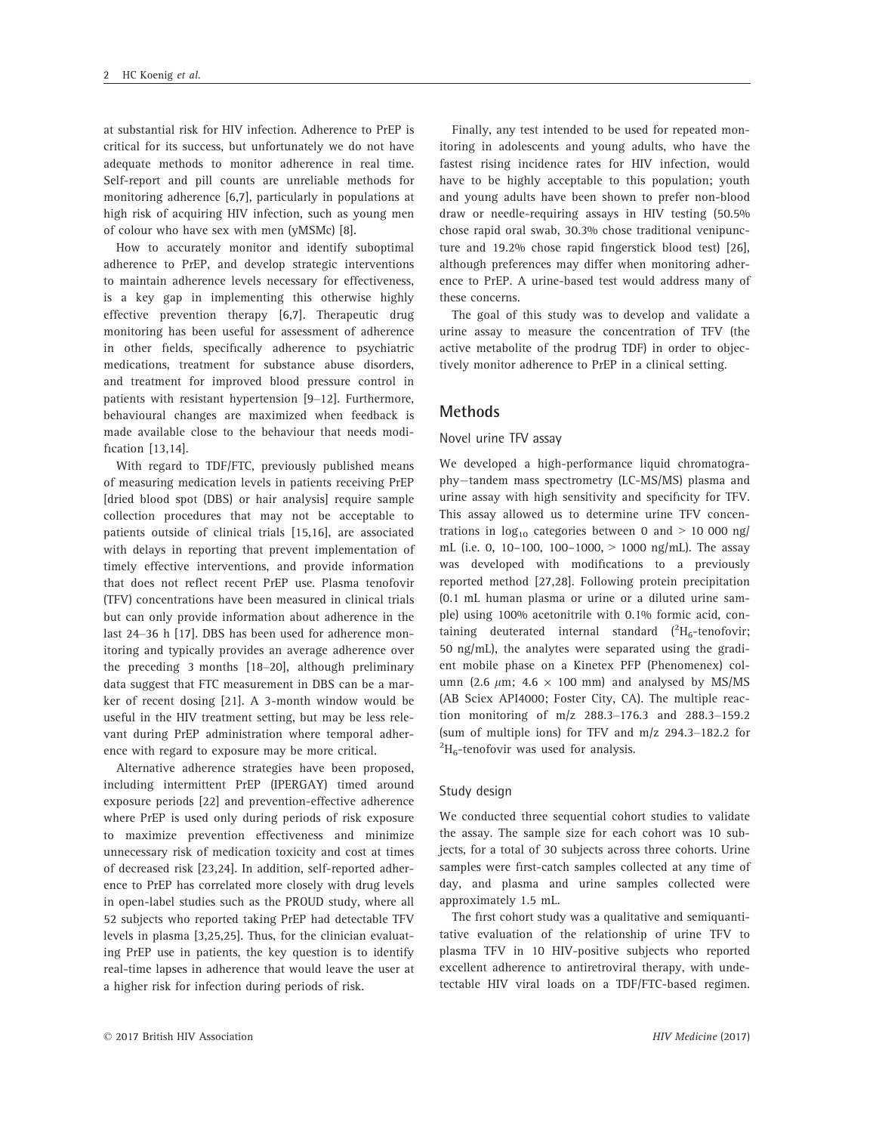at substantial risk for HIV infection. Adherence to PrEP is critical for its success, but unfortunately we do not have adequate methods to monitor adherence in real time. Self-report and pill counts are unreliable methods for monitoring adherence [6,7], particularly in populations at high risk of acquiring HIV infection, such as young men of colour who have sex with men (yMSMc) [8].

How to accurately monitor and identify suboptimal adherence to PrEP, and develop strategic interventions to maintain adherence levels necessary for effectiveness, is a key gap in implementing this otherwise highly effective prevention therapy [6,7]. Therapeutic drug monitoring has been useful for assessment of adherence in other fields, specifically adherence to psychiatric medications, treatment for substance abuse disorders, and treatment for improved blood pressure control in patients with resistant hypertension [9–12]. Furthermore, behavioural changes are maximized when feedback is made available close to the behaviour that needs modification [13,14].

With regard to TDF/FTC, previously published means of measuring medication levels in patients receiving PrEP [dried blood spot (DBS) or hair analysis] require sample collection procedures that may not be acceptable to patients outside of clinical trials [15,16], are associated with delays in reporting that prevent implementation of timely effective interventions, and provide information that does not reflect recent PrEP use. Plasma tenofovir (TFV) concentrations have been measured in clinical trials but can only provide information about adherence in the last 24–36 h [17]. DBS has been used for adherence monitoring and typically provides an average adherence over the preceding 3 months [18–20], although preliminary data suggest that FTC measurement in DBS can be a marker of recent dosing [21]. A 3-month window would be useful in the HIV treatment setting, but may be less relevant during PrEP administration where temporal adherence with regard to exposure may be more critical.

Alternative adherence strategies have been proposed, including intermittent PrEP (IPERGAY) timed around exposure periods [22] and prevention-effective adherence where PrEP is used only during periods of risk exposure to maximize prevention effectiveness and minimize unnecessary risk of medication toxicity and cost at times of decreased risk [23,24]. In addition, self-reported adherence to PrEP has correlated more closely with drug levels in open-label studies such as the PROUD study, where all 52 subjects who reported taking PrEP had detectable TFV levels in plasma [3,25,25]. Thus, for the clinician evaluating PrEP use in patients, the key question is to identify real-time lapses in adherence that would leave the user at a higher risk for infection during periods of risk.

Finally, any test intended to be used for repeated monitoring in adolescents and young adults, who have the fastest rising incidence rates for HIV infection, would have to be highly acceptable to this population; youth and young adults have been shown to prefer non-blood draw or needle-requiring assays in HIV testing (50.5% chose rapid oral swab, 30.3% chose traditional venipuncture and 19.2% chose rapid fingerstick blood test) [26], although preferences may differ when monitoring adherence to PrEP. A urine-based test would address many of these concerns.

The goal of this study was to develop and validate a urine assay to measure the concentration of TFV (the active metabolite of the prodrug TDF) in order to objectively monitor adherence to PrEP in a clinical setting.

# **Methods**

## Novel urine TFV assay

We developed a high-performance liquid chromatography-tandem mass spectrometry (LC-MS/MS) plasma and urine assay with high sensitivity and specificity for TFV. This assay allowed us to determine urine TFV concentrations in  $log_{10}$  categories between 0 and > 10 000 ng/ mL (i.e. 0, 10-100, 100-1000,  $> 1000$  ng/mL). The assay was developed with modifications to a previously reported method [27,28]. Following protein precipitation (0.1 mL human plasma or urine or a diluted urine sample) using 100% acetonitrile with 0.1% formic acid, containing deuterated internal standard  $(^{2}H_{6}$ -tenofovir; 50 ng/mL), the analytes were separated using the gradient mobile phase on a Kinetex PFP (Phenomenex) column (2.6  $\mu$ m; 4.6  $\times$  100 mm) and analysed by MS/MS (AB Sciex API4000; Foster City, CA). The multiple reaction monitoring of m/z 288.3–176.3 and 288.3–159.2 (sum of multiple ions) for TFV and m/z 294.3–182.2 for  ${}^{2}H_{6}$ -tenofovir was used for analysis.

#### Study design

We conducted three sequential cohort studies to validate the assay. The sample size for each cohort was 10 subjects, for a total of 30 subjects across three cohorts. Urine samples were first-catch samples collected at any time of day, and plasma and urine samples collected were approximately 1.5 mL.

The first cohort study was a qualitative and semiquantitative evaluation of the relationship of urine TFV to plasma TFV in 10 HIV-positive subjects who reported excellent adherence to antiretroviral therapy, with undetectable HIV viral loads on a TDF/FTC-based regimen.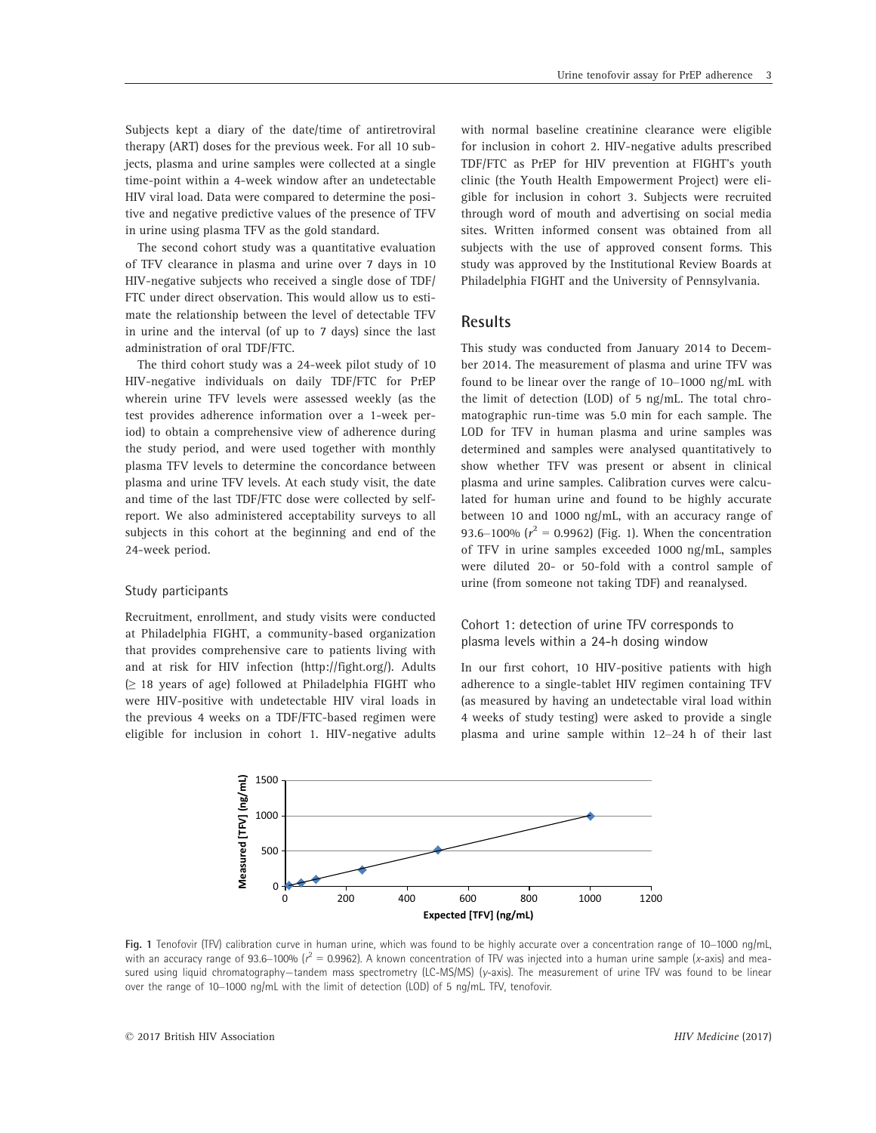Subjects kept a diary of the date/time of antiretroviral therapy (ART) doses for the previous week. For all 10 subjects, plasma and urine samples were collected at a single time-point within a 4-week window after an undetectable HIV viral load. Data were compared to determine the positive and negative predictive values of the presence of TFV in urine using plasma TFV as the gold standard.

The second cohort study was a quantitative evaluation of TFV clearance in plasma and urine over 7 days in 10 HIV-negative subjects who received a single dose of TDF/ FTC under direct observation. This would allow us to estimate the relationship between the level of detectable TFV in urine and the interval (of up to 7 days) since the last administration of oral TDF/FTC.

The third cohort study was a 24-week pilot study of 10 HIV-negative individuals on daily TDF/FTC for PrEP wherein urine TFV levels were assessed weekly (as the test provides adherence information over a 1-week period) to obtain a comprehensive view of adherence during the study period, and were used together with monthly plasma TFV levels to determine the concordance between plasma and urine TFV levels. At each study visit, the date and time of the last TDF/FTC dose were collected by selfreport. We also administered acceptability surveys to all subjects in this cohort at the beginning and end of the 24-week period.

#### Study participants

Recruitment, enrollment, and study visits were conducted at Philadelphia FIGHT, a community-based organization that provides comprehensive care to patients living with and at risk for HIV infection (http://fight.org/). Adults (≥ 18 years of age) followed at Philadelphia FIGHT who were HIV-positive with undetectable HIV viral loads in the previous 4 weeks on a TDF/FTC-based regimen were eligible for inclusion in cohort 1. HIV-negative adults with normal baseline creatinine clearance were eligible for inclusion in cohort 2. HIV-negative adults prescribed TDF/FTC as PrEP for HIV prevention at FIGHT's youth clinic (the Youth Health Empowerment Project) were eligible for inclusion in cohort 3. Subjects were recruited through word of mouth and advertising on social media sites. Written informed consent was obtained from all subjects with the use of approved consent forms. This study was approved by the Institutional Review Boards at Philadelphia FIGHT and the University of Pennsylvania.

# **Results**

This study was conducted from January 2014 to December 2014. The measurement of plasma and urine TFV was found to be linear over the range of 10–1000 ng/mL with the limit of detection (LOD) of 5 ng/mL. The total chromatographic run-time was 5.0 min for each sample. The LOD for TFV in human plasma and urine samples was determined and samples were analysed quantitatively to show whether TFV was present or absent in clinical plasma and urine samples. Calibration curves were calculated for human urine and found to be highly accurate between 10 and 1000 ng/mL, with an accuracy range of 93.6–100% ( $r^2$  = 0.9962) (Fig. 1). When the concentration of TFV in urine samples exceeded 1000 ng/mL, samples were diluted 20- or 50-fold with a control sample of urine (from someone not taking TDF) and reanalysed.

## Cohort 1: detection of urine TFV corresponds to plasma levels within a 24-h dosing window

In our first cohort, 10 HIV-positive patients with high adherence to a single-tablet HIV regimen containing TFV (as measured by having an undetectable viral load within 4 weeks of study testing) were asked to provide a single plasma and urine sample within 12–24 h of their last



Fig. 1 Tenofovir (TFV) calibration curve in human urine, which was found to be highly accurate over a concentration range of 10–1000 ng/mL, with an accuracy range of 93.6–100% ( $r^2 = 0.9962$ ). A known concentration of TFV was injected into a human urine sample (x-axis) and measured using liquid chromatography-tandem mass spectrometry (LC-MS/MS) (y-axis). The measurement of urine TFV was found to be linear over the range of 10–1000 ng/mL with the limit of detection (LOD) of 5 ng/mL. TFV, tenofovir.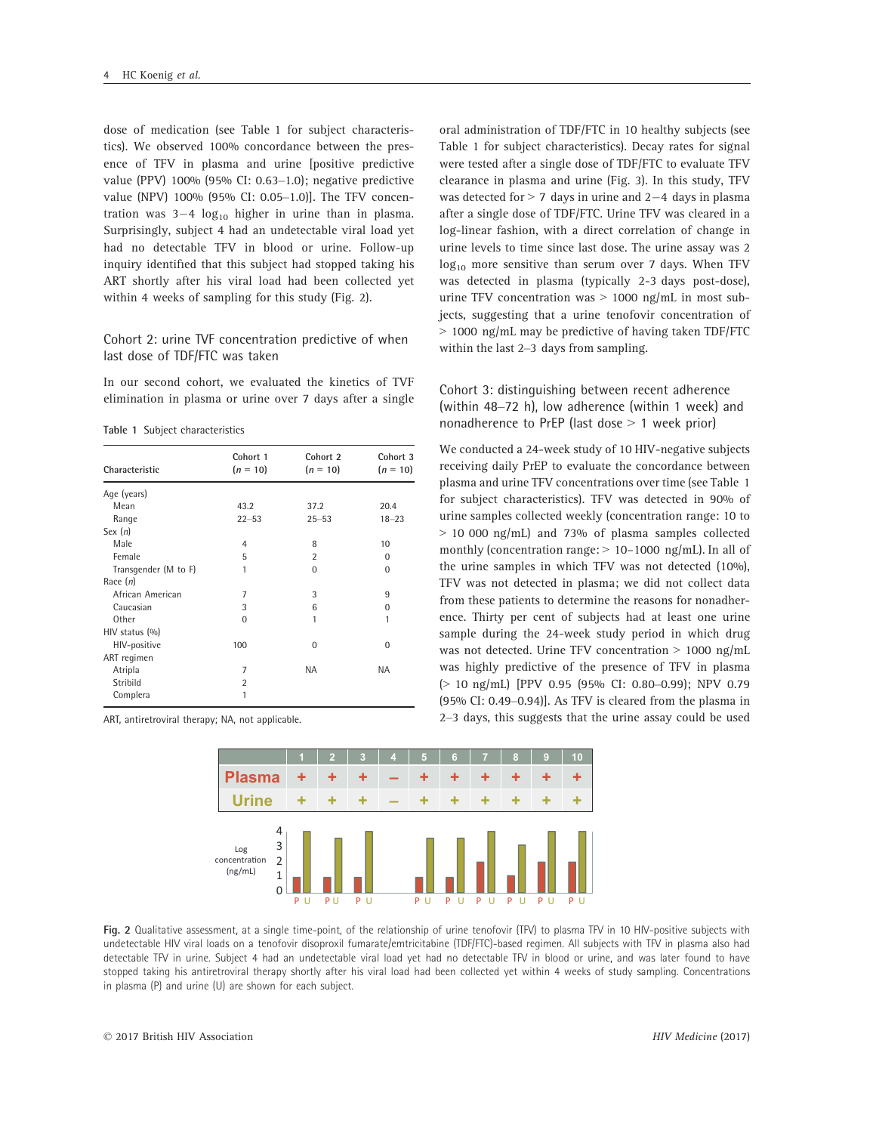dose of medication (see Table 1 for subject characteristics). We observed 100% concordance between the presence of TFV in plasma and urine [positive predictive value (PPV) 100% (95% CI: 0.63–1.0); negative predictive value (NPV) 100% (95% CI: 0.05–1.0)]. The TFV concentration was  $3-4 \log_{10}$  higher in urine than in plasma. Surprisingly, subject 4 had an undetectable viral load yet had no detectable TFV in blood or urine. Follow-up inquiry identified that this subject had stopped taking his ART shortly after his viral load had been collected yet within 4 weeks of sampling for this study (Fig. 2).

## Cohort 2: urine TVF concentration predictive of when last dose of TDF/FTC was taken

In our second cohort, we evaluated the kinetics of TVF elimination in plasma or urine over 7 days after a single

Table 1 Subject characteristics

| Characteristic       | Cohort 1<br>$(n = 10)$ | Cohort 2<br>$(n = 10)$ | Cohort 3<br>$(n = 10)$ |
|----------------------|------------------------|------------------------|------------------------|
| Age (years)          |                        |                        |                        |
| Mean                 | 43.2                   | 37.2                   | 20.4                   |
| Range                | $22 - 53$              | $25 - 53$              | $18 - 23$              |
| Sex $(n)$            |                        |                        |                        |
| Male                 | $\overline{4}$         | 8                      | 10 <sup>10</sup>       |
| Female               | 5                      | $\mathfrak{p}$         | $\Omega$               |
| Transgender (M to F) | 1                      | $\Omega$               | $\Omega$               |
| Race $(n)$           |                        |                        |                        |
| African American     | 7                      | 3                      | 9                      |
| Caucasian            | 3                      | 6                      | $\Omega$               |
| Other                | $\Omega$               | 1                      | 1                      |
| $HIV$ status $(%$    |                        |                        |                        |
| HIV-positive         | 100                    | $\Omega$               | $\Omega$               |
| ART regimen          |                        |                        |                        |
| Atripla              | 7                      | NA                     | NA.                    |
| Stribild             | 2                      |                        |                        |
| Complera             | 1                      |                        |                        |

ART, antiretroviral therapy; NA, not applicable.

oral administration of TDF/FTC in 10 healthy subjects (see Table 1 for subject characteristics). Decay rates for signal were tested after a single dose of TDF/FTC to evaluate TFV clearance in plasma and urine (Fig. 3). In this study, TFV was detected for  $> 7$  days in urine and 2-4 days in plasma after a single dose of TDF/FTC. Urine TFV was cleared in a log-linear fashion, with a direct correlation of change in urine levels to time since last dose. The urine assay was 2  $log_{10}$  more sensitive than serum over 7 days. When TFV was detected in plasma (typically 2-3 days post-dose), urine TFV concentration was > 1000 ng/mL in most subjects, suggesting that a urine tenofovir concentration of > 1000 ng/mL may be predictive of having taken TDF/FTC within the last 2–3 days from sampling.

## Cohort 3: distinguishing between recent adherence (within 48–72 h), low adherence (within 1 week) and nonadherence to PrEP (last dose > 1 week prior)

We conducted a 24-week study of 10 HIV-negative subjects receiving daily PrEP to evaluate the concordance between plasma and urine TFV concentrations over time (see Table 1 for subject characteristics). TFV was detected in 90% of urine samples collected weekly (concentration range: 10 to  $>$  10 000 ng/mL) and 73% of plasma samples collected monthly (concentration range: > 10–1000 ng/mL). In all of the urine samples in which TFV was not detected (10%), TFV was not detected in plasma; we did not collect data from these patients to determine the reasons for nonadherence. Thirty per cent of subjects had at least one urine sample during the 24-week study period in which drug was not detected. Urine TFV concentration > 1000 ng/mL was highly predictive of the presence of TFV in plasma (> 10 ng/mL) [PPV 0.95 (95% CI: 0.80–0.99); NPV 0.79 (95% CI: 0.49–0.94)]. As TFV is cleared from the plasma in 2–3 days, this suggests that the urine assay could be used



Fig. 2 Qualitative assessment, at a single time-point, of the relationship of urine tenofovir (TFV) to plasma TFV in 10 HIV-positive subjects with undetectable HIV viral loads on a tenofovir disoproxil fumarate/emtricitabine (TDF/FTC)-based regimen. All subjects with TFV in plasma also had detectable TFV in urine. Subject 4 had an undetectable viral load yet had no detectable TFV in blood or urine, and was later found to have stopped taking his antiretroviral therapy shortly after his viral load had been collected yet within 4 weeks of study sampling. Concentrations in plasma (P) and urine (U) are shown for each subject.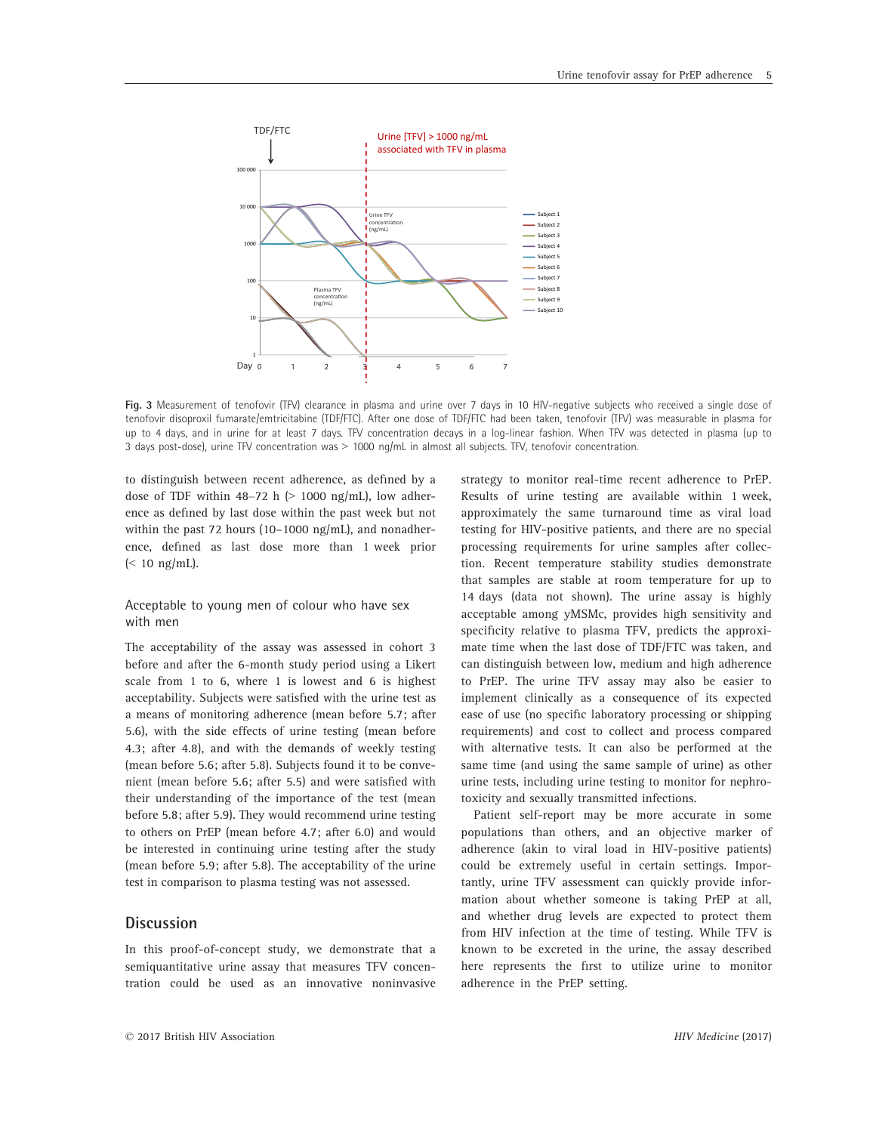

Fig. 3 Measurement of tenofovir (TFV) clearance in plasma and urine over 7 days in 10 HIV-negative subjects who received a single dose of tenofovir disoproxil fumarate/emtricitabine (TDF/FTC). After one dose of TDF/FTC had been taken, tenofovir (TFV) was measurable in plasma for up to 4 days, and in urine for at least 7 days. TFV concentration decays in a log-linear fashion. When TFV was detected in plasma (up to 3 days post-dose), urine TFV concentration was > 1000 ng/mL in almost all subjects. TFV, tenofovir concentration.

to distinguish between recent adherence, as defined by a dose of TDF within  $48-72$  h ( $> 1000$  ng/mL), low adherence as defined by last dose within the past week but not within the past 72 hours (10–1000 ng/mL), and nonadherence, defined as last dose more than 1 week prior  $\approx 10 \text{ ng/mL}$ .

## Acceptable to young men of colour who have sex with men

The acceptability of the assay was assessed in cohort 3 before and after the 6-month study period using a Likert scale from 1 to 6, where 1 is lowest and 6 is highest acceptability. Subjects were satisfied with the urine test as a means of monitoring adherence (mean before 5.7; after 5.6), with the side effects of urine testing (mean before 4.3; after 4.8), and with the demands of weekly testing (mean before 5.6; after 5.8). Subjects found it to be convenient (mean before 5.6; after 5.5) and were satisfied with their understanding of the importance of the test (mean before 5.8; after 5.9). They would recommend urine testing to others on PrEP (mean before 4.7; after 6.0) and would be interested in continuing urine testing after the study (mean before 5.9; after 5.8). The acceptability of the urine test in comparison to plasma testing was not assessed.

## **Discussion**

In this proof-of-concept study, we demonstrate that a semiquantitative urine assay that measures TFV concentration could be used as an innovative noninvasive strategy to monitor real-time recent adherence to PrEP. Results of urine testing are available within 1 week, approximately the same turnaround time as viral load testing for HIV-positive patients, and there are no special processing requirements for urine samples after collection. Recent temperature stability studies demonstrate that samples are stable at room temperature for up to 14 days (data not shown). The urine assay is highly acceptable among yMSMc, provides high sensitivity and specificity relative to plasma TFV, predicts the approximate time when the last dose of TDF/FTC was taken, and can distinguish between low, medium and high adherence to PrEP. The urine TFV assay may also be easier to implement clinically as a consequence of its expected ease of use (no specific laboratory processing or shipping requirements) and cost to collect and process compared with alternative tests. It can also be performed at the same time (and using the same sample of urine) as other urine tests, including urine testing to monitor for nephrotoxicity and sexually transmitted infections.

Patient self-report may be more accurate in some populations than others, and an objective marker of adherence (akin to viral load in HIV-positive patients) could be extremely useful in certain settings. Importantly, urine TFV assessment can quickly provide information about whether someone is taking PrEP at all, and whether drug levels are expected to protect them from HIV infection at the time of testing. While TFV is known to be excreted in the urine, the assay described here represents the first to utilize urine to monitor adherence in the PrEP setting.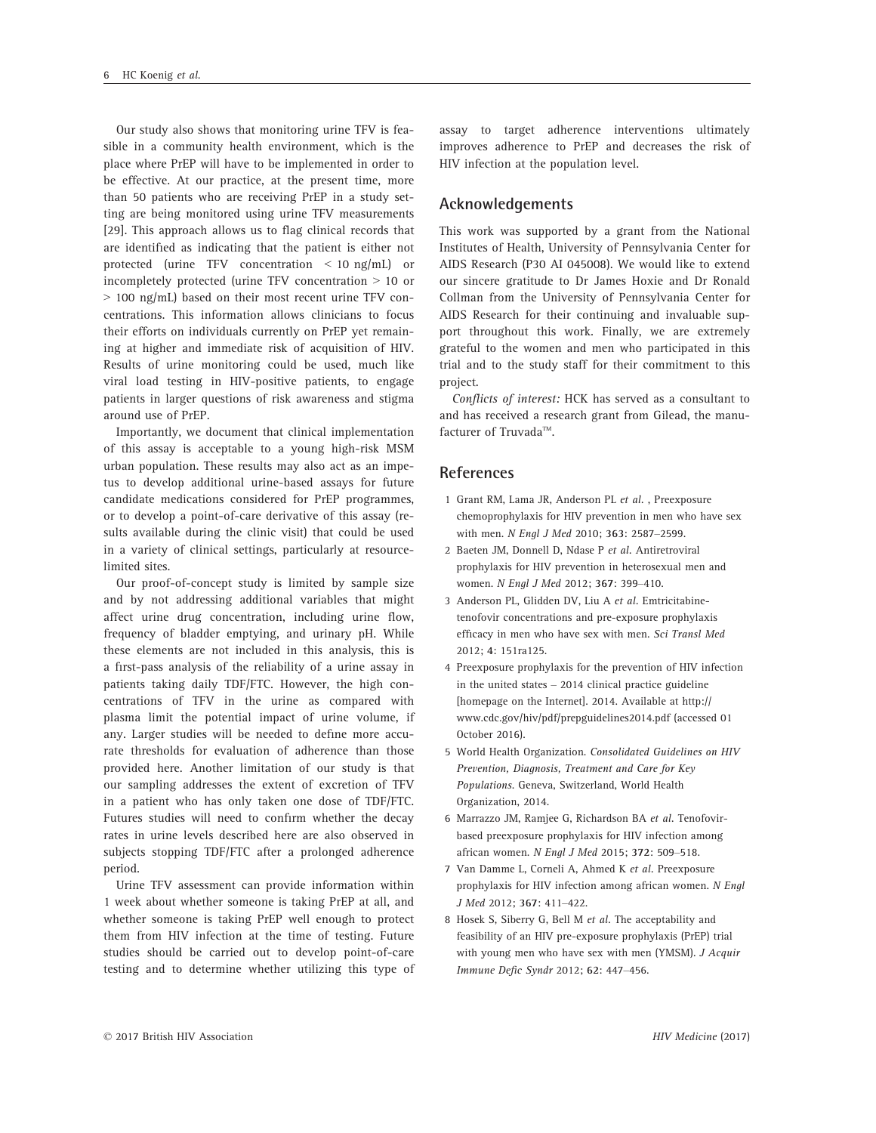Our study also shows that monitoring urine TFV is feasible in a community health environment, which is the place where PrEP will have to be implemented in order to be effective. At our practice, at the present time, more than 50 patients who are receiving PrEP in a study setting are being monitored using urine TFV measurements [29]. This approach allows us to flag clinical records that are identified as indicating that the patient is either not protected (urine TFV concentration < 10 ng/mL) or incompletely protected (urine TFV concentration > 10 or > 100 ng/mL) based on their most recent urine TFV concentrations. This information allows clinicians to focus their efforts on individuals currently on PrEP yet remaining at higher and immediate risk of acquisition of HIV. Results of urine monitoring could be used, much like viral load testing in HIV-positive patients, to engage patients in larger questions of risk awareness and stigma around use of PrEP.

Importantly, we document that clinical implementation of this assay is acceptable to a young high-risk MSM urban population. These results may also act as an impetus to develop additional urine-based assays for future candidate medications considered for PrEP programmes, or to develop a point-of-care derivative of this assay (results available during the clinic visit) that could be used in a variety of clinical settings, particularly at resourcelimited sites.

Our proof-of-concept study is limited by sample size and by not addressing additional variables that might affect urine drug concentration, including urine flow, frequency of bladder emptying, and urinary pH. While these elements are not included in this analysis, this is a first-pass analysis of the reliability of a urine assay in patients taking daily TDF/FTC. However, the high concentrations of TFV in the urine as compared with plasma limit the potential impact of urine volume, if any. Larger studies will be needed to define more accurate thresholds for evaluation of adherence than those provided here. Another limitation of our study is that our sampling addresses the extent of excretion of TFV in a patient who has only taken one dose of TDF/FTC. Futures studies will need to confirm whether the decay rates in urine levels described here are also observed in subjects stopping TDF/FTC after a prolonged adherence period.

Urine TFV assessment can provide information within 1 week about whether someone is taking PrEP at all, and whether someone is taking PrEP well enough to protect them from HIV infection at the time of testing. Future studies should be carried out to develop point-of-care testing and to determine whether utilizing this type of assay to target adherence interventions ultimately improves adherence to PrEP and decreases the risk of HIV infection at the population level.

# Acknowledgements

This work was supported by a grant from the National Institutes of Health, University of Pennsylvania Center for AIDS Research (P30 AI 045008). We would like to extend our sincere gratitude to Dr James Hoxie and Dr Ronald Collman from the University of Pennsylvania Center for AIDS Research for their continuing and invaluable support throughout this work. Finally, we are extremely grateful to the women and men who participated in this trial and to the study staff for their commitment to this project.

Conflicts of interest: HCK has served as a consultant to and has received a research grant from Gilead, the manufacturer of Truvada<sup>TM</sup>.

# References

- 1 Grant RM, Lama JR, Anderson PL et al. , Preexposure chemoprophylaxis for HIV prevention in men who have sex with men. N Engl J Med 2010; 363: 2587-2599.
- 2 Baeten JM, Donnell D, Ndase P et al. Antiretroviral prophylaxis for HIV prevention in heterosexual men and women. N Engl J Med 2012; 367: 399–410.
- 3 Anderson PL, Glidden DV, Liu A et al. Emtricitabinetenofovir concentrations and pre-exposure prophylaxis efficacy in men who have sex with men. Sci Transl Med 2012; 4: 151ra125.
- 4 Preexposure prophylaxis for the prevention of HIV infection in the united states – 2014 clinical practice guideline [homepage on the Internet]. 2014. Available at http:// www.cdc.gov/hiv/pdf/prepguidelines2014.pdf (accessed 01 October 2016).
- 5 World Health Organization. Consolidated Guidelines on HIV Prevention, Diagnosis, Treatment and Care for Key Populations. Geneva, Switzerland, World Health Organization, 2014.
- 6 Marrazzo JM, Ramjee G, Richardson BA et al. Tenofovirbased preexposure prophylaxis for HIV infection among african women. N Engl J Med 2015; 372: 509–518.
- 7 Van Damme L, Corneli A, Ahmed K et al. Preexposure prophylaxis for HIV infection among african women. N Engl J Med 2012; 367: 411–422.
- 8 Hosek S, Siberry G, Bell M et al. The acceptability and feasibility of an HIV pre-exposure prophylaxis (PrEP) trial with young men who have sex with men (YMSM). J Acquir Immune Defic Syndr 2012; 62: 447–456.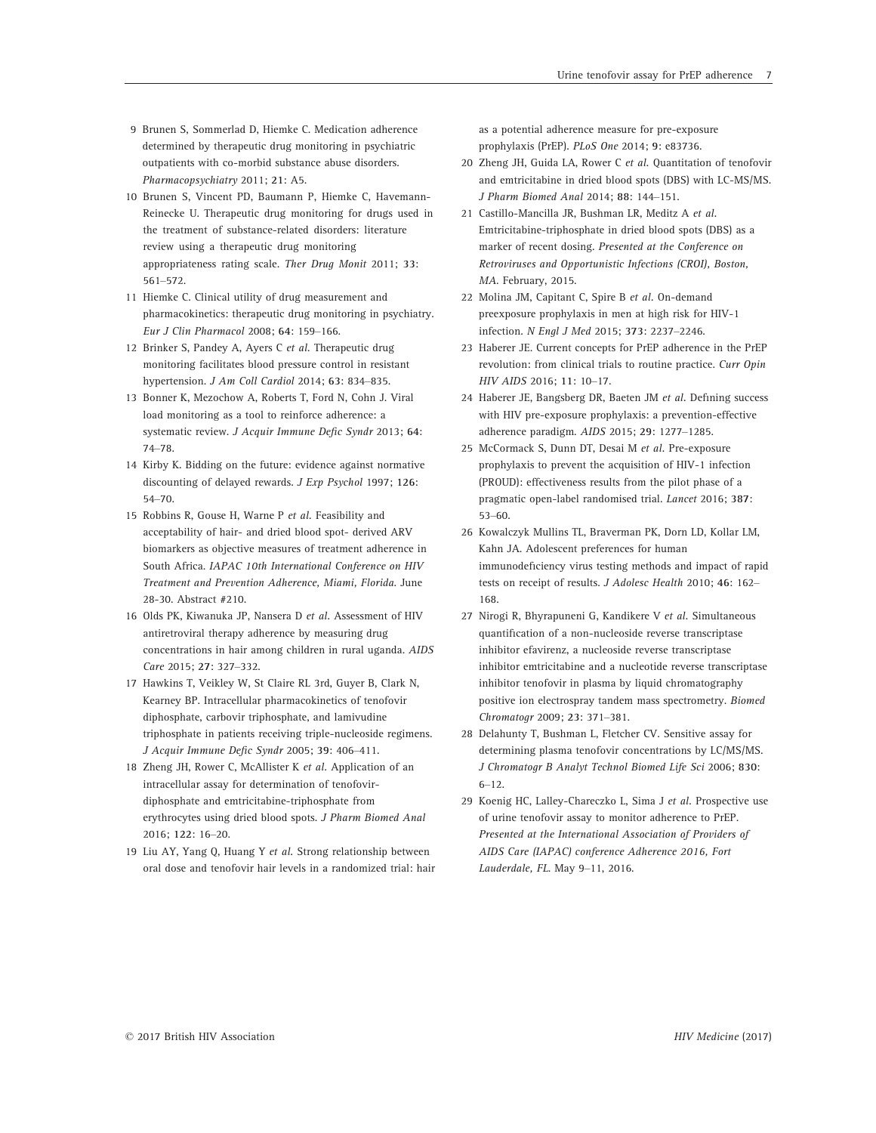- 9 Brunen S, Sommerlad D, Hiemke C. Medication adherence determined by therapeutic drug monitoring in psychiatric outpatients with co-morbid substance abuse disorders. Pharmacopsychiatry 2011; 21: A5.
- 10 Brunen S, Vincent PD, Baumann P, Hiemke C, Havemann-Reinecke U. Therapeutic drug monitoring for drugs used in the treatment of substance-related disorders: literature review using a therapeutic drug monitoring appropriateness rating scale. Ther Drug Monit 2011; 33: 561–572.
- 11 Hiemke C. Clinical utility of drug measurement and pharmacokinetics: therapeutic drug monitoring in psychiatry. Eur J Clin Pharmacol 2008; 64: 159–166.
- 12 Brinker S, Pandey A, Ayers C et al. Therapeutic drug monitoring facilitates blood pressure control in resistant hypertension. J Am Coll Cardiol 2014; 63: 834–835.
- 13 Bonner K, Mezochow A, Roberts T, Ford N, Cohn J. Viral load monitoring as a tool to reinforce adherence: a systematic review. J Acquir Immune Defic Syndr 2013; 64: 74–78.
- 14 Kirby K. Bidding on the future: evidence against normative discounting of delayed rewards. J Exp Psychol 1997; 126: 54–70.
- 15 Robbins R, Gouse H, Warne P et al. Feasibility and acceptability of hair- and dried blood spot- derived ARV biomarkers as objective measures of treatment adherence in South Africa. IAPAC 10th International Conference on HIV Treatment and Prevention Adherence, Miami, Florida. June 28-30. Abstract #210.
- 16 Olds PK, Kiwanuka JP, Nansera D et al. Assessment of HIV antiretroviral therapy adherence by measuring drug concentrations in hair among children in rural uganda. AIDS Care 2015; 27: 327–332.
- 17 Hawkins T, Veikley W, St Claire RL 3rd, Guyer B, Clark N, Kearney BP. Intracellular pharmacokinetics of tenofovir diphosphate, carbovir triphosphate, and lamivudine triphosphate in patients receiving triple-nucleoside regimens. J Acquir Immune Defic Syndr 2005; 39: 406–411.
- 18 Zheng JH, Rower C, McAllister K et al. Application of an intracellular assay for determination of tenofovirdiphosphate and emtricitabine-triphosphate from erythrocytes using dried blood spots. J Pharm Biomed Anal 2016; 122: 16–20.
- 19 Liu AY, Yang Q, Huang Y et al. Strong relationship between oral dose and tenofovir hair levels in a randomized trial: hair

as a potential adherence measure for pre-exposure prophylaxis (PrEP). PLoS One 2014; 9: e83736.

- 20 Zheng JH, Guida LA, Rower C et al. Quantitation of tenofovir and emtricitabine in dried blood spots (DBS) with LC-MS/MS. J Pharm Biomed Anal 2014; 88: 144–151.
- 21 Castillo-Mancilla JR, Bushman LR, Meditz A et al. Emtricitabine-triphosphate in dried blood spots (DBS) as a marker of recent dosing. Presented at the Conference on Retroviruses and Opportunistic Infections (CROI), Boston, MA. February, 2015.
- 22 Molina JM, Capitant C, Spire B et al. On-demand preexposure prophylaxis in men at high risk for HIV-1 infection. N Engl J Med 2015; 373: 2237–2246.
- 23 Haberer JE. Current concepts for PrEP adherence in the PrEP revolution: from clinical trials to routine practice. Curr Opin HIV AIDS 2016; 11: 10–17.
- 24 Haberer JE, Bangsberg DR, Baeten JM et al. Defining success with HIV pre-exposure prophylaxis: a prevention-effective adherence paradigm. AIDS 2015; 29: 1277–1285.
- 25 McCormack S, Dunn DT, Desai M et al. Pre-exposure prophylaxis to prevent the acquisition of HIV-1 infection (PROUD): effectiveness results from the pilot phase of a pragmatic open-label randomised trial. Lancet 2016; 387: 53–60.
- 26 Kowalczyk Mullins TL, Braverman PK, Dorn LD, Kollar LM, Kahn JA. Adolescent preferences for human immunodeficiency virus testing methods and impact of rapid tests on receipt of results. J Adolesc Health 2010; 46: 162– 168.
- 27 Nirogi R, Bhyrapuneni G, Kandikere V et al. Simultaneous quantification of a non-nucleoside reverse transcriptase inhibitor efavirenz, a nucleoside reverse transcriptase inhibitor emtricitabine and a nucleotide reverse transcriptase inhibitor tenofovir in plasma by liquid chromatography positive ion electrospray tandem mass spectrometry. Biomed Chromatogr 2009; 23: 371–381.
- 28 Delahunty T, Bushman L, Fletcher CV. Sensitive assay for determining plasma tenofovir concentrations by LC/MS/MS. J Chromatogr B Analyt Technol Biomed Life Sci 2006; 830: 6–12.
- 29 Koenig HC, Lalley-Chareczko L, Sima J et al. Prospective use of urine tenofovir assay to monitor adherence to PrEP. Presented at the International Association of Providers of AIDS Care (IAPAC) conference Adherence 2016, Fort Lauderdale, FL. May 9–11, 2016.